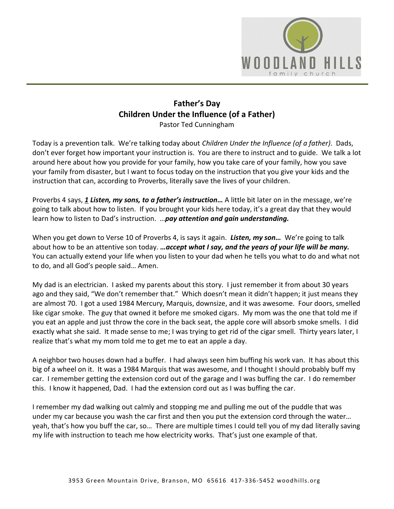

## **Father's Day Children Under the Influence (of a Father)** Pastor Ted Cunningham

Today is a prevention talk. We're talking today about *Children Under the Influence (of a father)*. Dads, don't ever forget how important your instruction is. You are there to instruct and to guide. We talk a lot around here about how you provide for your family, how you take care of your family, how you save your family from disaster, but I want to focus today on the instruction that you give your kids and the instruction that can, according to Proverbs, literally save the lives of your children.

Proverbs 4 says, [1](https://www.studylight.org/desk/?q=pr%204:1&t1=en_niv&sr=1) Listen, my sons, to a father's instruction... A little bit later on in the message, we're going to talk about how to listen. If you brought your kids here today, it's a great day that they would learn how to listen to Dad's instruction. …*pay attention and gain understanding.*

When you get down to Verse 10 of Proverbs 4, is says it again. *Listen, my son…* We're going to talk about how to be an attentive son today. *…accept what I say, and the years of your life will be many.* You can actually extend your life when you listen to your dad when he tells you what to do and what not to do, and all God's people said… Amen.

My dad is an electrician. I asked my parents about this story. I just remember it from about 30 years ago and they said, "We don't remember that." Which doesn't mean it didn't happen; it just means they are almost 70. I got a used 1984 Mercury, Marquis, downsize, and it was awesome. Four doors, smelled like cigar smoke. The guy that owned it before me smoked cigars. My mom was the one that told me if you eat an apple and just throw the core in the back seat, the apple core will absorb smoke smells. I did exactly what she said. It made sense to me; I was trying to get rid of the cigar smell. Thirty years later, I realize that's what my mom told me to get me to eat an apple a day.

A neighbor two houses down had a buffer. I had always seen him buffing his work van. It has about this big of a wheel on it. It was a 1984 Marquis that was awesome, and I thought I should probably buff my car. I remember getting the extension cord out of the garage and I was buffing the car. I do remember this. I know it happened, Dad. I had the extension cord out as I was buffing the car.

I remember my dad walking out calmly and stopping me and pulling me out of the puddle that was under my car because you wash the car first and then you put the extension cord through the water… yeah, that's how you buff the car, so… There are multiple times I could tell you of my dad literally saving my life with instruction to teach me how electricity works. That's just one example of that.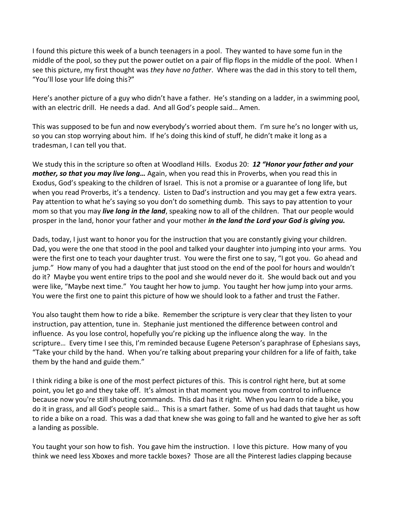I found this picture this week of a bunch teenagers in a pool. They wanted to have some fun in the middle of the pool, so they put the power outlet on a pair of flip flops in the middle of the pool. When I see this picture, my first thought was *they have no father*. Where was the dad in this story to tell them, "You'll lose your life doing this?"

Here's another picture of a guy who didn't have a father. He's standing on a ladder, in a swimming pool, with an electric drill. He needs a dad. And all God's people said… Amen.

This was supposed to be fun and now everybody's worried about them. I'm sure he's no longer with us, so you can stop worrying about him. If he's doing this kind of stuff, he didn't make it long as a tradesman, I can tell you that.

We study this in the scripture so often at Woodland Hills. Exodus 20: *[12](https://www.studylight.org/desk/?q=ex%2020:12&t1=en_niv&sr=1) "Honor your father and your mother, so that you may live long…* Again, when you read this in Proverbs, when you read this in Exodus, God's speaking to the children of Israel. This is not a promise or a guarantee of long life, but when you read Proverbs, it's a tendency. Listen to Dad's instruction and you may get a few extra years. Pay attention to what he's saying so you don't do something dumb. This says to pay attention to your mom so that you may *live long in the land*, speaking now to all of the children. That our people would prosper in the land, honor your father and your mother *in the land the Lord your God is giving you.*

Dads, today, I just want to honor you for the instruction that you are constantly giving your children. Dad, you were the one that stood in the pool and talked your daughter into jumping into your arms. You were the first one to teach your daughter trust. You were the first one to say, "I got you. Go ahead and jump." How many of you had a daughter that just stood on the end of the pool for hours and wouldn't do it? Maybe you went entire trips to the pool and she would never do it. She would back out and you were like, "Maybe next time." You taught her how to jump. You taught her how jump into your arms. You were the first one to paint this picture of how we should look to a father and trust the Father.

You also taught them how to ride a bike. Remember the scripture is very clear that they listen to your instruction, pay attention, tune in. Stephanie just mentioned the difference between control and influence. As you lose control, hopefully you're picking up the influence along the way. In the scripture… Every time I see this, I'm reminded because Eugene Peterson's paraphrase of Ephesians says, "Take your child by the hand. When you're talking about preparing your children for a life of faith, take them by the hand and guide them."

I think riding a bike is one of the most perfect pictures of this. This is control right here, but at some point, you let go and they take off. It's almost in that moment you move from control to influence because now you're still shouting commands. This dad has it right. When you learn to ride a bike, you do it in grass, and all God's people said… This is a smart father. Some of us had dads that taught us how to ride a bike on a road. This was a dad that knew she was going to fall and he wanted to give her as soft a landing as possible.

You taught your son how to fish. You gave him the instruction. I love this picture. How many of you think we need less Xboxes and more tackle boxes? Those are all the Pinterest ladies clapping because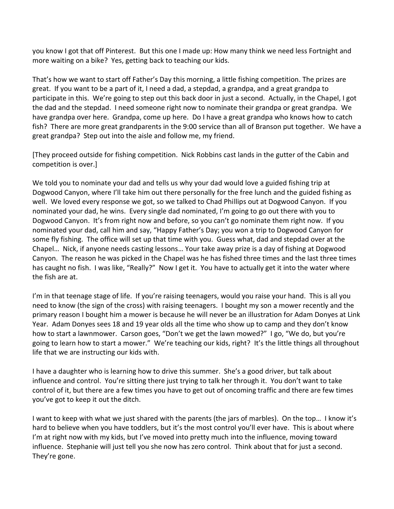you know I got that off Pinterest. But this one I made up: How many think we need less Fortnight and more waiting on a bike? Yes, getting back to teaching our kids.

That's how we want to start off Father's Day this morning, a little fishing competition. The prizes are great. If you want to be a part of it, I need a dad, a stepdad, a grandpa, and a great grandpa to participate in this. We're going to step out this back door in just a second. Actually, in the Chapel, I got the dad and the stepdad. I need someone right now to nominate their grandpa or great grandpa. We have grandpa over here. Grandpa, come up here. Do I have a great grandpa who knows how to catch fish? There are more great grandparents in the 9:00 service than all of Branson put together. We have a great grandpa? Step out into the aisle and follow me, my friend.

[They proceed outside for fishing competition. Nick Robbins cast lands in the gutter of the Cabin and competition is over.]

We told you to nominate your dad and tells us why your dad would love a guided fishing trip at Dogwood Canyon, where I'll take him out there personally for the free lunch and the guided fishing as well. We loved every response we got, so we talked to Chad Phillips out at Dogwood Canyon. If you nominated your dad, he wins. Every single dad nominated, I'm going to go out there with you to Dogwood Canyon. It's from right now and before, so you can't go nominate them right now. If you nominated your dad, call him and say, "Happy Father's Day; you won a trip to Dogwood Canyon for some fly fishing. The office will set up that time with you. Guess what, dad and stepdad over at the Chapel… Nick, if anyone needs casting lessons… Your take away prize is a day of fishing at Dogwood Canyon. The reason he was picked in the Chapel was he has fished three times and the last three times has caught no fish. I was like, "Really?" Now I get it. You have to actually get it into the water where the fish are at.

I'm in that teenage stage of life. If you're raising teenagers, would you raise your hand. This is all you need to know (the sign of the cross) with raising teenagers. I bought my son a mower recently and the primary reason I bought him a mower is because he will never be an illustration for Adam Donyes at Link Year. Adam Donyes sees 18 and 19 year olds all the time who show up to camp and they don't know how to start a lawnmower. Carson goes, "Don't we get the lawn mowed?" I go, "We do, but you're going to learn how to start a mower." We're teaching our kids, right? It's the little things all throughout life that we are instructing our kids with.

I have a daughter who is learning how to drive this summer. She's a good driver, but talk about influence and control. You're sitting there just trying to talk her through it. You don't want to take control of it, but there are a few times you have to get out of oncoming traffic and there are few times you've got to keep it out the ditch.

I want to keep with what we just shared with the parents (the jars of marbles). On the top… I know it's hard to believe when you have toddlers, but it's the most control you'll ever have. This is about where I'm at right now with my kids, but I've moved into pretty much into the influence, moving toward influence. Stephanie will just tell you she now has zero control. Think about that for just a second. They're gone.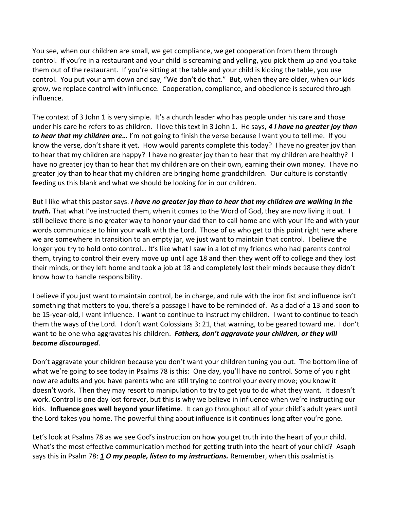You see, when our children are small, we get compliance, we get cooperation from them through control. If you're in a restaurant and your child is screaming and yelling, you pick them up and you take them out of the restaurant. If you're sitting at the table and your child is kicking the table, you use control. You put your arm down and say, "We don't do that." But, when they are older, when our kids grow, we replace control with influence. Cooperation, compliance, and obedience is secured through influence.

The context of 3 John 1 is very simple. It's a church leader who has people under his care and those under his care he refers to as children. I love this text in 3 John 1. He says, *[4](https://www.studylight.org/desk/?q=3jo%201:4&t1=en_niv&sr=1) I have no greater joy than to hear that my children are…* I'm not going to finish the verse because I want you to tell me. If you know the verse, don't share it yet. How would parents complete this today? I have no greater joy than to hear that my children are happy? I have no greater joy than to hear that my children are healthy? I have no greater joy than to hear that my children are on their own, earning their own money. I have no greater joy than to hear that my children are bringing home grandchildren. Our culture is constantly feeding us this blank and what we should be looking for in our children.

But I like what this pastor says. *I have no greater joy than to hear that my children are walking in the truth.* That what I've instructed them, when it comes to the Word of God, they are now living it out. I still believe there is no greater way to honor your dad than to call home and with your life and with your words communicate to him your walk with the Lord. Those of us who get to this point right here where we are somewhere in transition to an empty jar, we just want to maintain that control. I believe the longer you try to hold onto control… It's like what I saw in a lot of my friends who had parents control them, trying to control their every move up until age 18 and then they went off to college and they lost their minds, or they left home and took a job at 18 and completely lost their minds because they didn't know how to handle responsibility.

I believe if you just want to maintain control, be in charge, and rule with the iron fist and influence isn't something that matters to you, there's a passage I have to be reminded of. As a dad of a 13 and soon to be 15-year-old, I want influence. I want to continue to instruct my children. I want to continue to teach them the ways of the Lord. I don't want Colossians 3: 21, that warning, to be geared toward me. I don't want to be one who aggravates his children. *Fathers, don't aggravate your children, or they will become discouraged*.

Don't aggravate your children because you don't want your children tuning you out. The bottom line of what we're going to see today in Psalms 78 is this: One day, you'll have no control. Some of you right now are adults and you have parents who are still trying to control your every move; you know it doesn't work. Then they may resort to manipulation to try to get you to do what they want. It doesn't work. Control is one day lost forever, but this is why we believe in influence when we're instructing our kids. **Influence goes well beyond your lifetime**. It can go throughout all of your child's adult years until the Lord takes you home. The powerful thing about influence is it continues long after you're gone.

Let's look at Psalms 78 as we see God's instruction on how you get truth into the heart of your child. What's the most effective communication method for getting truth into the heart of your child? Asaph says this in Psalm 78: *[1](https://www.studylight.org/desk/?q=ps%2078:1&t1=en_nlt&sr=1) O my people, listen to my instructions.* Remember, when this psalmist is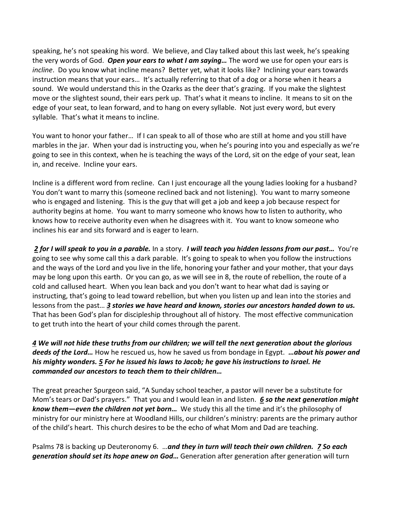speaking, he's not speaking his word. We believe, and Clay talked about this last week, he's speaking the very words of God. *Open your ears to what I am saying…* The word we use for open your ears is *incline*. Do you know what incline means? Better yet, what it looks like? Inclining your ears towards instruction means that your ears… It's actually referring to that of a dog or a horse when it hears a sound. We would understand this in the Ozarks as the deer that's grazing. If you make the slightest move or the slightest sound, their ears perk up. That's what it means to incline. It means to sit on the edge of your seat, to lean forward, and to hang on every syllable. Not just every word, but every syllable. That's what it means to incline.

You want to honor your father… If I can speak to all of those who are still at home and you still have marbles in the jar. When your dad is instructing you, when he's pouring into you and especially as we're going to see in this context, when he is teaching the ways of the Lord, sit on the edge of your seat, lean in, and receive. Incline your ears.

Incline is a different word from recline. Can I just encourage all the young ladies looking for a husband? You don't want to marry this (someone reclined back and not listening). You want to marry someone who is engaged and listening. This is the guy that will get a job and keep a job because respect for authority begins at home. You want to marry someone who knows how to listen to authority, who knows how to receive authority even when he disagrees with it. You want to know someone who inclines his ear and sits forward and is eager to learn.

 *[2](https://www.studylight.org/desk/?q=ps%2078:2&t1=en_nlt&sr=1) for I will speak to you in a parable.* In a story. *I will teach you hidden lessons from our past…* You're going to see why some call this a dark parable. It's going to speak to when you follow the instructions and the ways of the Lord and you live in the life, honoring your father and your mother, that your days may be long upon this earth. Or you can go, as we will see in 8, the route of rebellion, the route of a cold and callused heart. When you lean back and you don't want to hear what dad is saying or instructing, that's going to lead toward rebellion, but when you listen up and lean into the stories and lessons from the past… *[3](https://www.studylight.org/desk/?q=ps%2078:3&t1=en_nlt&sr=1) stories we have heard and known, stories our ancestors handed down to us.* That has been God's plan for discipleship throughout all of history. The most effective communication to get truth into the heart of your child comes through the parent.

*[4](https://www.studylight.org/desk/?q=ps%2078:4&t1=en_nlt&sr=1) We will not hide these truths from our children; we will tell the next generation about the glorious deeds of the Lord…* How he rescued us, how he saved us from bondage in Egypt. *…about his power and his mighty wonders. [5](https://www.studylight.org/desk/?q=ps%2078:5&t1=en_nlt&sr=1) For he issued his laws to Jacob; he gave his instructions to Israel. He commanded our ancestors to teach them to their children…*

The great preacher Spurgeon said, "A Sunday school teacher, a pastor will never be a substitute for Mom's tears or Dad's prayers." That you and I would lean in and listen. *[6](https://www.studylight.org/desk/?q=ps%2078:6&t1=en_nlt&sr=1) so the next generation might know them—even the children not yet born…* We study this all the time and it's the philosophy of ministry for our ministry here at Woodland Hills, our children's ministry: parents are the primary author of the child's heart. This church desires to be the echo of what Mom and Dad are teaching.

Psalms 78 is backing up Deuteronomy 6. …*and they in turn will teach their own children. [7](https://www.studylight.org/desk/?q=ps%2078:7&t1=en_nlt&sr=1) So each generation should set its hope anew on God…* Generation after generation after generation will turn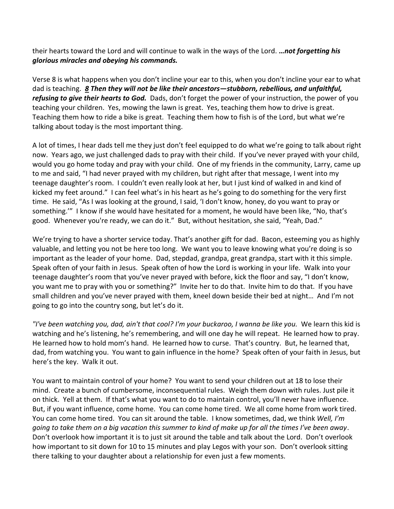their hearts toward the Lord and will continue to walk in the ways of the Lord. *…not forgetting his glorious miracles and obeying his commands.* 

Verse 8 is what happens when you don't incline your ear to this, when you don't incline your ear to what dad is teaching. *[8](https://www.studylight.org/desk/?q=ps%2078:8&t1=en_nlt&sr=1) Then they will not be like their ancestors—stubborn, rebellious, and unfaithful, refusing to give their hearts to God.* Dads, don't forget the power of your instruction, the power of you teaching your children. Yes, mowing the lawn is great. Yes, teaching them how to drive is great. Teaching them how to ride a bike is great. Teaching them how to fish is of the Lord, but what we're talking about today is the most important thing.

A lot of times, I hear dads tell me they just don't feel equipped to do what we're going to talk about right now. Years ago, we just challenged dads to pray with their child. If you've never prayed with your child, would you go home today and pray with your child. One of my friends in the community, Larry, came up to me and said, "I had never prayed with my children, but right after that message, I went into my teenage daughter's room. I couldn't even really look at her, but I just kind of walked in and kind of kicked my feet around." I can feel what's in his heart as he's going to do something for the very first time. He said, "As I was looking at the ground, I said, 'I don't know, honey, do you want to pray or something.'" I know if she would have hesitated for a moment, he would have been like, "No, that's good. Whenever you're ready, we can do it." But, without hesitation, she said, "Yeah, Dad."

We're trying to have a shorter service today. That's another gift for dad. Bacon, esteeming you as highly valuable, and letting you not be here too long. We want you to leave knowing what you're doing is so important as the leader of your home. Dad, stepdad, grandpa, great grandpa, start with it this simple. Speak often of your faith in Jesus. Speak often of how the Lord is working in your life. Walk into your teenage daughter's room that you've never prayed with before, kick the floor and say, "I don't know, you want me to pray with you or something?" Invite her to do that. Invite him to do that. If you have small children and you've never prayed with them, kneel down beside their bed at night… And I'm not going to go into the country song, but let's do it.

*"I've been watching you, dad, ain't that cool? I'm your buckaroo, I wanna be like you.* We learn this kid is watching and he's listening, he's remembering, and will one day he will repeat. He learned how to pray. He learned how to hold mom's hand. He learned how to curse. That's country. But, he learned that, dad, from watching you. You want to gain influence in the home? Speak often of your faith in Jesus, but here's the key. Walk it out.

You want to maintain control of your home? You want to send your children out at 18 to lose their mind. Create a bunch of cumbersome, inconsequential rules. Weigh them down with rules. Just pile it on thick. Yell at them. If that's what you want to do to maintain control, you'll never have influence. But, if you want influence, come home. You can come home tired. We all come home from work tired. You can come home tired. You can sit around the table. I know sometimes, dad, we think *Well, I'm going to take them on a big vacation this summer to kind of make up for all the times I've been away*. Don't overlook how important it is to just sit around the table and talk about the Lord. Don't overlook how important to sit down for 10 to 15 minutes and play Legos with your son. Don't overlook sitting there talking to your daughter about a relationship for even just a few moments.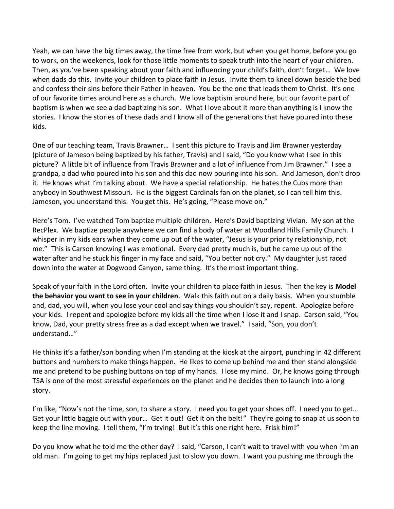Yeah, we can have the big times away, the time free from work, but when you get home, before you go to work, on the weekends, look for those little moments to speak truth into the heart of your children. Then, as you've been speaking about your faith and influencing your child's faith, don't forget… We love when dads do this. Invite your children to place faith in Jesus. Invite them to kneel down beside the bed and confess their sins before their Father in heaven. You be the one that leads them to Christ. It's one of our favorite times around here as a church. We love baptism around here, but our favorite part of baptism is when we see a dad baptizing his son. What I love about it more than anything is I know the stories. I know the stories of these dads and I know all of the generations that have poured into these kids.

One of our teaching team, Travis Brawner… I sent this picture to Travis and Jim Brawner yesterday (picture of Jameson being baptized by his father, Travis) and I said, "Do you know what I see in this picture? A little bit of influence from Travis Brawner and a lot of influence from Jim Brawner." I see a grandpa, a dad who poured into his son and this dad now pouring into his son. And Jameson, don't drop it. He knows what I'm talking about. We have a special relationship. He hates the Cubs more than anybody in Southwest Missouri. He is the biggest Cardinals fan on the planet, so I can tell him this. Jameson, you understand this. You get this. He's going, "Please move on."

Here's Tom. I've watched Tom baptize multiple children. Here's David baptizing Vivian. My son at the RecPlex. We baptize people anywhere we can find a body of water at Woodland Hills Family Church. I whisper in my kids ears when they come up out of the water, "Jesus is your priority relationship, not me." This is Carson knowing I was emotional. Every dad pretty much is, but he came up out of the water after and he stuck his finger in my face and said, "You better not cry." My daughter just raced down into the water at Dogwood Canyon, same thing. It's the most important thing.

Speak of your faith in the Lord often. Invite your children to place faith in Jesus. Then the key is **Model the behavior you want to see in your children**. Walk this faith out on a daily basis. When you stumble and, dad, you will, when you lose your cool and say things you shouldn't say, repent. Apologize before your kids. I repent and apologize before my kids all the time when I lose it and I snap. Carson said, "You know, Dad, your pretty stress free as a dad except when we travel." I said, "Son, you don't understand…"

He thinks it's a father/son bonding when I'm standing at the kiosk at the airport, punching in 42 different buttons and numbers to make things happen. He likes to come up behind me and then stand alongside me and pretend to be pushing buttons on top of my hands. I lose my mind. Or, he knows going through TSA is one of the most stressful experiences on the planet and he decides then to launch into a long story.

I'm like, "Now's not the time, son, to share a story. I need you to get your shoes off. I need you to get… Get your little baggie out with your... Get it out! Get it on the belt!" They're going to snap at us soon to keep the line moving. I tell them, "I'm trying! But it's this one right here. Frisk him!"

Do you know what he told me the other day? I said, "Carson, I can't wait to travel with you when I'm an old man. I'm going to get my hips replaced just to slow you down. I want you pushing me through the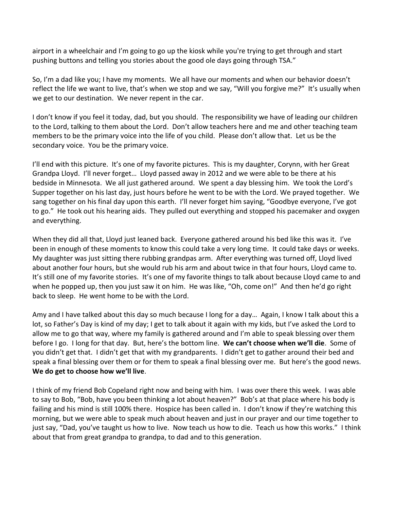airport in a wheelchair and I'm going to go up the kiosk while you're trying to get through and start pushing buttons and telling you stories about the good ole days going through TSA."

So, I'm a dad like you; I have my moments. We all have our moments and when our behavior doesn't reflect the life we want to live, that's when we stop and we say, "Will you forgive me?" It's usually when we get to our destination. We never repent in the car.

I don't know if you feel it today, dad, but you should. The responsibility we have of leading our children to the Lord, talking to them about the Lord. Don't allow teachers here and me and other teaching team members to be the primary voice into the life of you child. Please don't allow that. Let us be the secondary voice. You be the primary voice.

I'll end with this picture. It's one of my favorite pictures. This is my daughter, Corynn, with her Great Grandpa Lloyd. I'll never forget… Lloyd passed away in 2012 and we were able to be there at his bedside in Minnesota. We all just gathered around. We spent a day blessing him. We took the Lord's Supper together on his last day, just hours before he went to be with the Lord. We prayed together. We sang together on his final day upon this earth. I'll never forget him saying, "Goodbye everyone, I've got to go." He took out his hearing aids. They pulled out everything and stopped his pacemaker and oxygen and everything.

When they did all that, Lloyd just leaned back. Everyone gathered around his bed like this was it. I've been in enough of these moments to know this could take a very long time. It could take days or weeks. My daughter was just sitting there rubbing grandpas arm. After everything was turned off, Lloyd lived about another four hours, but she would rub his arm and about twice in that four hours, Lloyd came to. It's still one of my favorite stories. It's one of my favorite things to talk about because Lloyd came to and when he popped up, then you just saw it on him. He was like, "Oh, come on!" And then he'd go right back to sleep. He went home to be with the Lord.

Amy and I have talked about this day so much because I long for a day… Again, I know I talk about this a lot, so Father's Day is kind of my day; I get to talk about it again with my kids, but I've asked the Lord to allow me to go that way, where my family is gathered around and I'm able to speak blessing over them before I go. I long for that day. But, here's the bottom line. **We can't choose when we'll die**. Some of you didn't get that. I didn't get that with my grandparents. I didn't get to gather around their bed and speak a final blessing over them or for them to speak a final blessing over me. But here's the good news. **We do get to choose how we'll live**.

I think of my friend Bob Copeland right now and being with him. I was over there this week. I was able to say to Bob, "Bob, have you been thinking a lot about heaven?" Bob's at that place where his body is failing and his mind is still 100% there. Hospice has been called in. I don't know if they're watching this morning, but we were able to speak much about heaven and just in our prayer and our time together to just say, "Dad, you've taught us how to live. Now teach us how to die. Teach us how this works." I think about that from great grandpa to grandpa, to dad and to this generation.